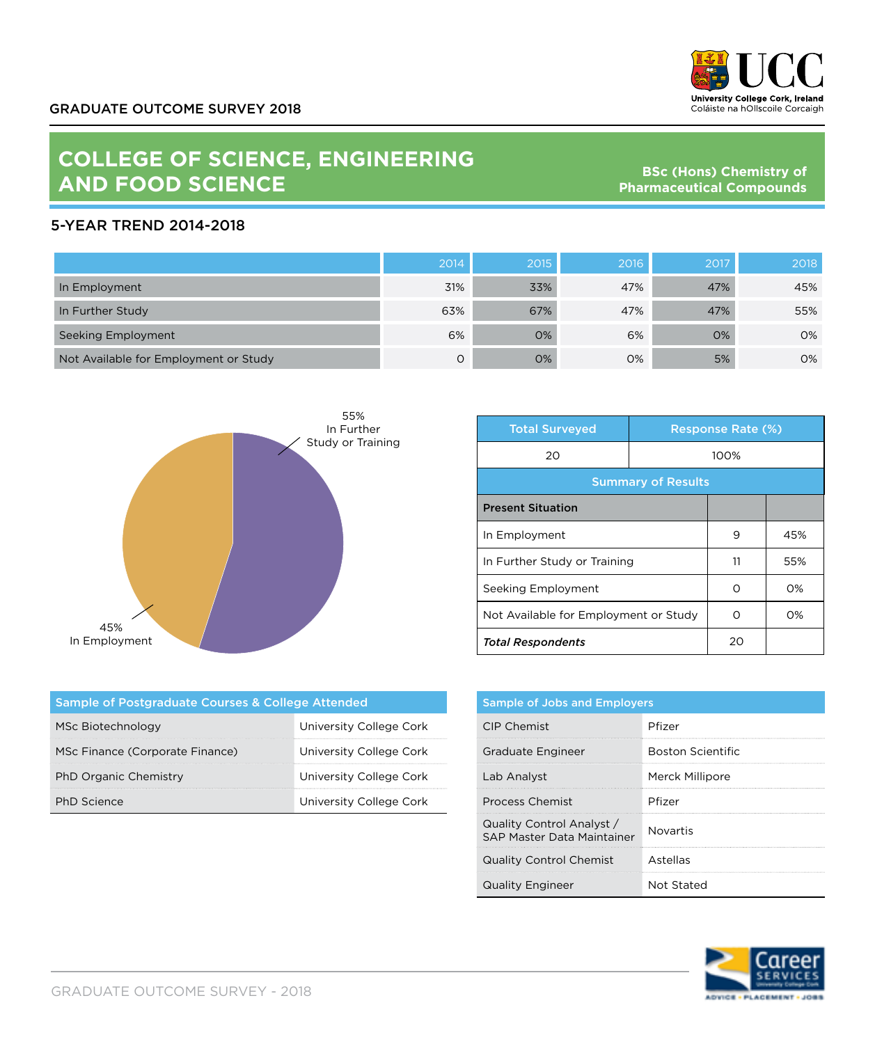

## **COLLEGE OF SCIENCE, ENGINEERING AND FOOD SCIENCE**

**BSc (Hons) Chemistry of Pharmaceutical Compounds**

## 5-YEAR TREND 2014-2018

|                                       | 2014 | 2015 | 2016 | 2017 | 2018 |
|---------------------------------------|------|------|------|------|------|
| In Employment                         | 31%  | 33%  | 47%  | 47%  | 45%  |
| In Further Study                      | 63%  | 67%  | 47%  | 47%  | 55%  |
| Seeking Employment                    | 6%   | 0%   | 6%   | 0%   | 0%   |
| Not Available for Employment or Study | O    | 0%   | 0%   | 5%   | 0%   |



| <b>Total Surveyed</b>                 |      | <b>Response Rate (%)</b> |       |  |
|---------------------------------------|------|--------------------------|-------|--|
| 20                                    | 100% |                          |       |  |
| <b>Summary of Results</b>             |      |                          |       |  |
| <b>Present Situation</b>              |      |                          |       |  |
| In Employment                         |      | 9                        | 45%   |  |
| In Further Study or Training          |      | 11                       | 55%   |  |
| Seeking Employment                    |      | ∩                        | O%    |  |
| Not Available for Employment or Study |      | Ω                        | $O\%$ |  |
| <b>Total Respondents</b>              |      | 20                       |       |  |

| Sample of Postgraduate Courses & College Attended |                         |  |  |  |
|---------------------------------------------------|-------------------------|--|--|--|
| MSc Biotechnology                                 | University College Cork |  |  |  |
| MSc Finance (Corporate Finance)                   | University College Cork |  |  |  |
| PhD Organic Chemistry                             | University College Cork |  |  |  |
| <b>PhD</b> Science                                | University College Cork |  |  |  |

| <b>Sample of Jobs and Employers</b>                     |                          |  |
|---------------------------------------------------------|--------------------------|--|
| CIP Chemist                                             | Pfizer                   |  |
| Graduate Engineer                                       | <b>Boston Scientific</b> |  |
| Lab Analyst                                             | Merck Millipore          |  |
| <b>Process Chemist</b>                                  | Pfizer                   |  |
| Quality Control Analyst /<br>SAP Master Data Maintainer | Novartis                 |  |
| <b>Quality Control Chemist</b>                          | Astellas                 |  |
| <b>Quality Engineer</b>                                 | Not Stated               |  |